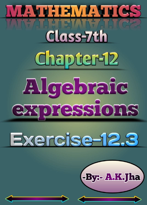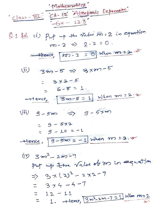

(ii) 300-5 => 3xm-5

$$
= 3x2-5
$$
  
= 6-5 = 1  
where  $\sqrt{3m-5} = 1$  When  $m=2$ 

$$
\begin{array}{cccc}\n\text{Vii} & 9 - 5\text{m} & \implies & 9 - 5\text{m}\n\end{array}
$$

$$
= 9 - 5x2
$$
  
= 9 - 10 = -1  
= 9 - 10 = -1  
When 200 = 2.

(iii) 
$$
3m^2 - 2m - 7
$$
  
\n(iv)  $4m + 4m \sqrt{a}lnn$  of  $3m$  is  $2m + 3m$   
\n $\Rightarrow 3 \times (2)^2 - 2 \times 2 - 7$   
\n $= 3 \times 4 - 4 - 7$   
\n $= 12 - 11$   
\n $= 1. +12$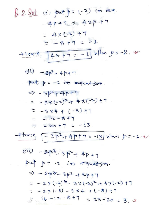$$
9.2 \text{ Sol: } (i) \text{ put } p = (-2) \text{ in } eq.
$$
\n
$$
4p + 1 = 4 \times p + 7
$$
\n
$$
= 4 \times (-2) + 7
$$
\n
$$
= -8 + 7 = -1
$$
\n
$$
\frac{+1 \text{ence}}{(-2) + 7} = -1 \text{ when } p = -2.
$$
\n
$$
= -3p^{2} + 4p + 7
$$
\n
$$
p = -2 \text{ in } eq. (1)
$$

$$
\Rightarrow -3p^{2} + 4p + 7
$$
\n
$$
= -3 \times (-2)^{2} + 4 \times (-2) + 7
$$
\n
$$
= -3 \times 4 + (-8) + 7
$$
\n
$$
= -12 - 8 + 7
$$
\n
$$
= -20 + 7 = -13.
$$

 $\frac{1}{\sqrt{1-\frac{3p^2+4p+7-13}{3p^2}}}$  when  $p=-2.4$ 

$$
(iii) -9p3 - 3p2 + 4p + 7
$$
  
\n
$$
pqr + p = -2 in equation
$$
  
\n
$$
p = -2p3 - 3p2 + 4p + 7
$$
  
\n
$$
= -2(2p)3 - 3(2p2 + 4(2p)2) + 7
$$
  
\n
$$
= -2(2p)(-8) - 3(2p2 + 4(2p)2) + 7
$$
  
\n
$$
= -2(2p)(-8) - 3(2p+1) - 8(2p+1) = 2(3-20) = 3.1x
$$